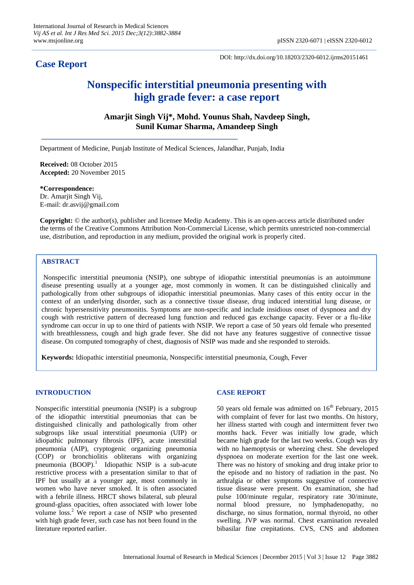**Case Report** 

DOI: http://dx.doi.org/10.18203/2320-6012.ijrms20151461

# **Nonspecific interstitial pneumonia presenting with high grade fever: a case report**

**Amarjit Singh Vij\*, Mohd. Younus Shah, Navdeep Singh, Sunil Kumar Sharma, Amandeep Singh**

Department of Medicine, Punjab Institute of Medical Sciences, Jalandhar, Punjab, India

**Received:** 08 October 2015 **Accepted:** 20 November 2015

**\*Correspondence:** Dr. Amarjit Singh Vij, E-mail: dr.asvij@gmail.com

**Copyright:** © the author(s), publisher and licensee Medip Academy. This is an open-access article distributed under the terms of the Creative Commons Attribution Non-Commercial License, which permits unrestricted non-commercial use, distribution, and reproduction in any medium, provided the original work is properly cited.

# **ABSTRACT**

Nonspecific interstitial pneumonia (NSIP), one subtype of idiopathic interstitial pneumonias is an autoimmune disease presenting usually at a younger age, most commonly in women. It can be distinguished clinically and pathologically from other subgroups of idiopathic interstitial pneumonias. Many cases of this entity occur in the context of an underlying disorder, such as a connective tissue disease, drug induced interstitial lung disease, or chronic hypersensitivity pneumonitis. Symptoms are non-specific and include insidious onset of dyspnoea and dry cough with restrictive pattern of decreased lung function and reduced gas exchange capacity. Fever or a flu-like syndrome can occur in up to one third of patients with NSIP. We report a case of 50 years old female who presented with breathlessness, cough and high grade fever. She did not have any features suggestive of connective tissue disease. On computed tomography of chest, diagnosis of NSIP was made and she responded to steroids.

**Keywords:** Idiopathic interstitial pneumonia, Nonspecific interstitial pneumonia, Cough, Fever

# **INTRODUCTION**

Nonspecific interstitial pneumonia (NSIP) is a subgroup of the idiopathic interstitial pneumonias that can be distinguished clinically and pathologically from other subgroups like usual interstitial pneumonia (UIP) or idiopathic pulmonary fibrosis (IPF), acute interstitial pneumonia (AIP), cryptogenic organizing pneumonia (COP) or bronchiolitis obliterans with organizing pneumonia  $(BOOP)$ .<sup>1</sup> Idiopathic NSIP is a sub-acute restrictive process with a presentation similar to that of IPF but usually at a younger age, most commonly in women who have never smoked. It is often associated with a febrile illness. HRCT shows bilateral, sub pleural ground-glass opacities, often associated with lower lobe volume loss.<sup>2</sup> We report a case of NSIP who presented with high grade fever, such case has not been found in the literature reported earlier.

# **CASE REPORT**

50 years old female was admitted on  $16<sup>th</sup>$  February, 2015 with complaint of fever for last two months. On history, her illness started with cough and intermittent fever two months back. Fever was initially low grade, which became high grade for the last two weeks. Cough was dry with no haemoptysis or wheezing chest. She developed dyspnoea on moderate exertion for the last one week. There was no history of smoking and drug intake prior to the episode and no history of radiation in the past. No arthralgia or other symptoms suggestive of connective tissue disease were present. On examination, she had pulse 100/minute regular, respiratory rate 30/minute, normal blood pressure, no lymphadenopathy, no discharge, no sinus formation, normal thyroid, no other swelling. JVP was normal. Chest examination revealed bibasilar fine crepitations. CVS, CNS and abdomen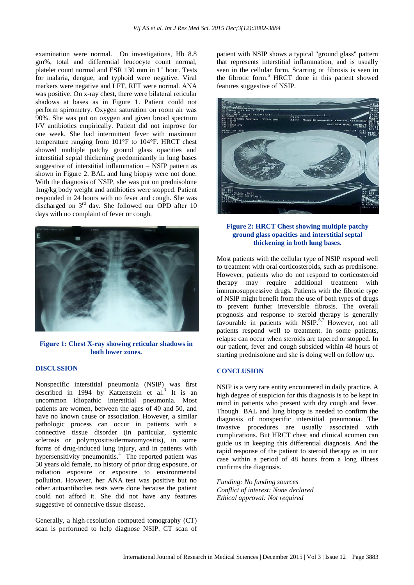examination were normal. On investigations, Hb 8.8 gm%, total and differential leucocyte count normal, platelet count normal and ESR 130 mm in  $1<sup>st</sup>$  hour. Tests for malaria, dengue, and typhoid were negative. Viral markers were negative and LFT, RFT were normal. ANA was positive. On x-ray chest, there were bilateral reticular shadows at bases as in Figure 1. Patient could not perform spirometry. Oxygen saturation on room air was 90%. She was put on oxygen and given broad spectrum I/V antibiotics empirically. Patient did not improve for one week. She had intermittent fever with maximum temperature ranging from 101°F to 104°F. HRCT chest showed multiple patchy ground glass opacities and interstitial septal thickening predominantly in lung bases suggestive of interstitial inflammation – NSIP pattern as shown in Figure 2. BAL and lung biopsy were not done. With the diagnosis of NSIP, she was put on prednisolone 1mg/kg body weight and antibiotics were stopped. Patient responded in 24 hours with no fever and cough. She was discharged on 3rd day. She followed our OPD after 10 days with no complaint of fever or cough.



**Figure 1: Chest X-ray showing reticular shadows in both lower zones.**

#### **DISCUSSION**

Nonspecific interstitial pneumonia (NSIP) was first described in 1994 by Katzenstein et al.<sup>3</sup> It is an uncommon idiopathic interstitial pneumonia. Most patients are women, between the ages of 40 and 50, and have no known cause or association. However, a similar pathologic process can occur in patients with a connective tissue disorder (in particular, systemic sclerosis or polymyositis/dermatomyositis), in some forms of drug-induced lung injury, and in patients with hypersensitivity pneumonitis.<sup>4</sup> The reported patient was 50 years old female, no history of prior drug exposure, or radiation exposure or exposure to environmental pollution. However, her ANA test was positive but no other autoantibodies tests were done because the patient could not afford it. She did not have any features suggestive of connective tissue disease.

Generally, a high-resolution computed tomography (CT) scan is performed to help diagnose NSIP. CT scan of patient with NSIP shows a typical "ground glass" pattern that represents interstitial inflammation, and is usually seen in the cellular form. Scarring or fibrosis is seen in the fibrotic form.<sup>5</sup> HRCT done in this patient showed features suggestive of NSIP.



## **Figure 2: HRCT Chest showing multiple patchy ground glass opacities and interstitial septal thickening in both lung bases.**

Most patients with the cellular type of NSIP respond well to treatment with oral corticosteroids, such as prednisone. However, patients who do not respond to corticosteroid therapy may require additional treatment with immunosuppressive drugs. Patients with the fibrotic type of NSIP might benefit from the use of both types of drugs to prevent further irreversible fibrosis. The overall prognosis and response to steroid therapy is generally favourable in patients with NSIP.<sup>6,7</sup> However, not all patients respond well to treatment. In some patients, relapse can occur when steroids are tapered or stopped. In our patient, fever and cough subsided within 48 hours of starting prednisolone and she is doing well on follow up.

## **CONCLUSION**

NSIP is a very rare entity encountered in daily practice. A high degree of suspicion for this diagnosis is to be kept in mind in patients who present with dry cough and fever. Though BAL and lung biopsy is needed to confirm the diagnosis of nonspecific interstitial pneumonia. The invasive procedures are usually associated with complications. But HRCT chest and clinical acumen can guide us in keeping this differential diagnosis. And the rapid response of the patient to steroid therapy as in our case within a period of 48 hours from a long illness confirms the diagnosis.

*Funding: No funding sources Conflict of interest: None declared Ethical approval: Not required*